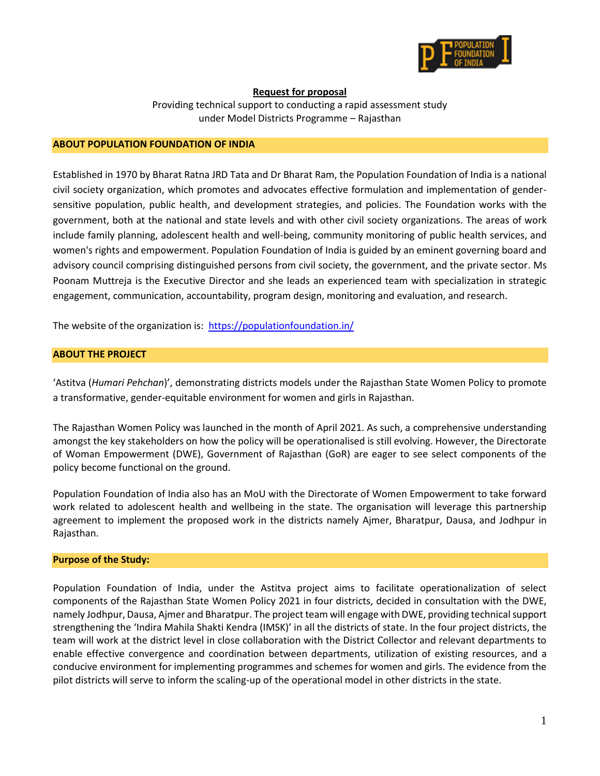

# **Request for proposal**

Providing technical support to conducting a rapid assessment study under Model Districts Programme – Rajasthan

### **ABOUT POPULATION FOUNDATION OF INDIA**

Established in 1970 by Bharat Ratna JRD Tata and Dr Bharat Ram, the Population Foundation of India is a national civil society organization, which promotes and advocates effective formulation and implementation of gendersensitive population, public health, and development strategies, and policies. The Foundation works with the government, both at the national and state levels and with other civil society organizations. The areas of work include family planning, adolescent health and well-being, community monitoring of public health services, and women's rights and empowerment. Population Foundation of India is guided by an eminent governing board and advisory council comprising distinguished persons from civil society, the government, and the private sector. Ms Poonam Muttreja is the Executive Director and she leads an experienced team with specialization in strategic engagement, communication, accountability, program design, monitoring and evaluation, and research.

The website of the organization is: <https://populationfoundation.in/>

## **ABOUT THE PROJECT**

'Astitva (*Humari Pehchan*)', demonstrating districts models under the Rajasthan State Women Policy to promote a transformative, gender-equitable environment for women and girls in Rajasthan.

The Rajasthan Women Policy was launched in the month of April 2021. As such, a comprehensive understanding amongst the key stakeholders on how the policy will be operationalised is still evolving. However, the Directorate of Woman Empowerment (DWE), Government of Rajasthan (GoR) are eager to see select components of the policy become functional on the ground.

Population Foundation of India also has an MoU with the Directorate of Women Empowerment to take forward work related to adolescent health and wellbeing in the state. The organisation will leverage this partnership agreement to implement the proposed work in the districts namely Ajmer, Bharatpur, Dausa, and Jodhpur in Rajasthan.

### **Purpose of the Study:**

Population Foundation of India, under the Astitva project aims to facilitate operationalization of select components of the Rajasthan State Women Policy 2021 in four districts, decided in consultation with the DWE, namely Jodhpur, Dausa, Ajmer and Bharatpur. The project team will engage with DWE, providing technical support strengthening the 'Indira Mahila Shakti Kendra (IMSK)' in all the districts of state. In the four project districts, the team will work at the district level in close collaboration with the District Collector and relevant departments to enable effective convergence and coordination between departments, utilization of existing resources, and a conducive environment for implementing programmes and schemes for women and girls. The evidence from the pilot districts will serve to inform the scaling-up of the operational model in other districts in the state.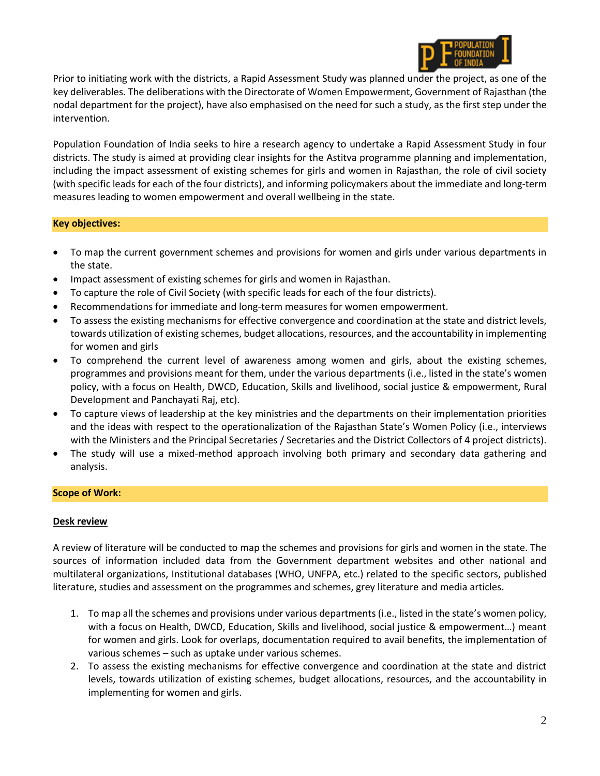

Prior to initiating work with the districts, a Rapid Assessment Study was planned under the project, as one of the key deliverables. The deliberations with the Directorate of Women Empowerment, Government of Rajasthan (the nodal department for the project), have also emphasised on the need for such a study, as the first step under the intervention.

Population Foundation of India seeks to hire a research agency to undertake a Rapid Assessment Study in four districts. The study is aimed at providing clear insights for the Astitva programme planning and implementation, including the impact assessment of existing schemes for girls and women in Rajasthan, the role of civil society (with specific leads for each of the four districts), and informing policymakers about the immediate and long-term measures leading to women empowerment and overall wellbeing in the state.

## **Key objectives:**

- To map the current government schemes and provisions for women and girls under various departments in the state.
- Impact assessment of existing schemes for girls and women in Rajasthan.
- To capture the role of Civil Society (with specific leads for each of the four districts).
- Recommendations for immediate and long-term measures for women empowerment.
- To assess the existing mechanisms for effective convergence and coordination at the state and district levels, towards utilization of existing schemes, budget allocations, resources, and the accountability in implementing for women and girls
- To comprehend the current level of awareness among women and girls, about the existing schemes, programmes and provisions meant for them, under the various departments (i.e., listed in the state's women policy, with a focus on Health, DWCD, Education, Skills and livelihood, social justice & empowerment, Rural Development and Panchayati Raj, etc).
- To capture views of leadership at the key ministries and the departments on their implementation priorities and the ideas with respect to the operationalization of the Rajasthan State's Women Policy (i.e., interviews with the Ministers and the Principal Secretaries / Secretaries and the District Collectors of 4 project districts).
- The study will use a mixed-method approach involving both primary and secondary data gathering and analysis.

### **Scope of Work:**

### **Desk review**

A review of literature will be conducted to map the schemes and provisions for girls and women in the state. The sources of information included data from the Government department websites and other national and multilateral organizations, Institutional databases (WHO, UNFPA, etc.) related to the specific sectors, published literature, studies and assessment on the programmes and schemes, grey literature and media articles.

- 1. To map all the schemes and provisions under various departments (i.e., listed in the state's women policy, with a focus on Health, DWCD, Education, Skills and livelihood, social justice & empowerment…) meant for women and girls. Look for overlaps, documentation required to avail benefits, the implementation of various schemes – such as uptake under various schemes.
- 2. To assess the existing mechanisms for effective convergence and coordination at the state and district levels, towards utilization of existing schemes, budget allocations, resources, and the accountability in implementing for women and girls.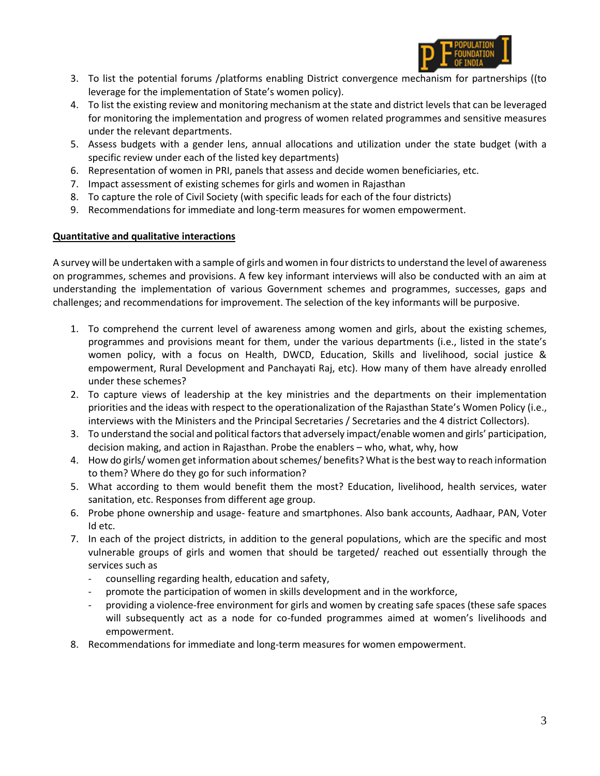

- 3. To list the potential forums /platforms enabling District convergence mechanism for partnerships ((to leverage for the implementation of State's women policy).
- 4. To list the existing review and monitoring mechanism at the state and district levels that can be leveraged for monitoring the implementation and progress of women related programmes and sensitive measures under the relevant departments.
- 5. Assess budgets with a gender lens, annual allocations and utilization under the state budget (with a specific review under each of the listed key departments)
- 6. Representation of women in PRI, panels that assess and decide women beneficiaries, etc.
- 7. Impact assessment of existing schemes for girls and women in Rajasthan
- 8. To capture the role of Civil Society (with specific leads for each of the four districts)
- 9. Recommendations for immediate and long-term measures for women empowerment.

# **Quantitative and qualitative interactions**

A survey will be undertaken with a sample of girls and women in four districts to understand the level of awareness on programmes, schemes and provisions. A few key informant interviews will also be conducted with an aim at understanding the implementation of various Government schemes and programmes, successes, gaps and challenges; and recommendations for improvement. The selection of the key informants will be purposive.

- 1. To comprehend the current level of awareness among women and girls, about the existing schemes, programmes and provisions meant for them, under the various departments (i.e., listed in the state's women policy, with a focus on Health, DWCD, Education, Skills and livelihood, social justice & empowerment, Rural Development and Panchayati Raj, etc). How many of them have already enrolled under these schemes?
- 2. To capture views of leadership at the key ministries and the departments on their implementation priorities and the ideas with respect to the operationalization of the Rajasthan State's Women Policy (i.e., interviews with the Ministers and the Principal Secretaries / Secretaries and the 4 district Collectors).
- 3. To understand the social and political factors that adversely impact/enable women and girls' participation, decision making, and action in Rajasthan. Probe the enablers – who, what, why, how
- 4. How do girls/ women get information about schemes/ benefits? What is the best way to reach information to them? Where do they go for such information?
- 5. What according to them would benefit them the most? Education, livelihood, health services, water sanitation, etc. Responses from different age group.
- 6. Probe phone ownership and usage- feature and smartphones. Also bank accounts, Aadhaar, PAN, Voter Id etc.
- 7. In each of the project districts, in addition to the general populations, which are the specific and most vulnerable groups of girls and women that should be targeted/ reached out essentially through the services such as
	- counselling regarding health, education and safety,
	- promote the participation of women in skills development and in the workforce,
	- providing a violence-free environment for girls and women by creating safe spaces (these safe spaces will subsequently act as a node for co-funded programmes aimed at women's livelihoods and empowerment.
- 8. Recommendations for immediate and long-term measures for women empowerment.